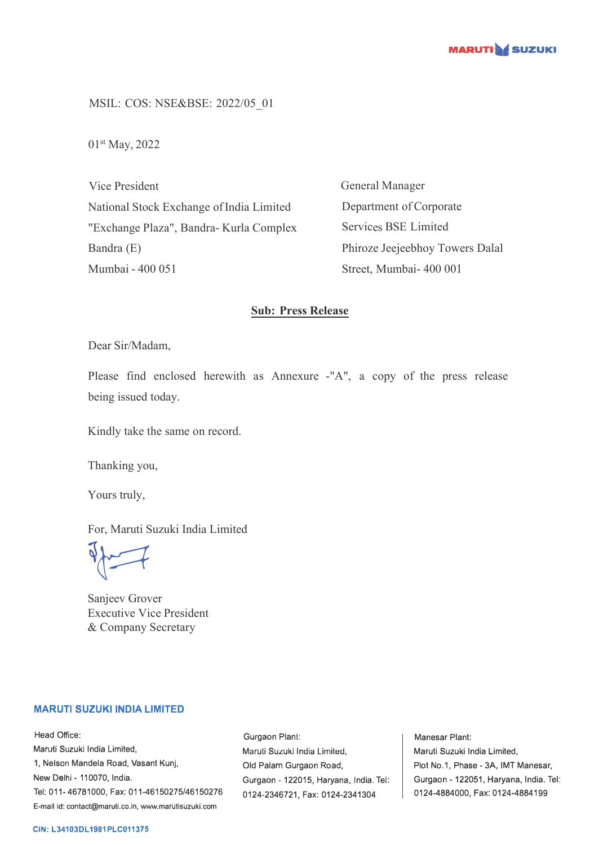

MSIL: COS: NSE&BSE: 2022/05\_01

01st May, 2022

Vice President National Stock Exchange of India Limited "Exchange Plaza", Bandra- Kurla Complex Bandra (E) Mumbai - 400 051

General Manager Department of Corporate Services BSE Limited Phiroze Jeejeebhoy Towers Dalal Street, Mumbai- 400 001

## **Sub: Press Release**

Dear Sir/Madam,

Please find enclosed herewith as Annexure -"A", a copy of the press release being issued today.

Kindly take the same on record.

Thanking you,

Yours truly,

For, Maruti Suzuki India Limited

 $\sqrt{2}$ 

Sanjeev Grover Executive Vice President & Company Secretary

### **MARUTI SUZUKI INDIA LIMITED**

Head Office: Maruti Suzuki India Limited, 1, Nelson Mandela Road, Vasant Kunj, New Delhi - 110070, India. Tel: 011-46781000, Fax: 011-46150275/46150276 E-mail id: contact@maruti.co.in, www.marutisuzuki.com

Gurgaon Plant: Maruli Suzuki India Lirniled, Old Palam Gurgaon Road, Gurgaon - 122015, Haryana, India. Tel: 0124-2346721, Fax: 0124-2341304

Manesar Plant: Maruti Suzuki India Limited, Plot No.1, Phase - 3A, IMT Manesar, Gurgaon - 122051, Haryana, India. Tel: 0124-4884000, Fax: 0124-4884199

#### **CIN: L34103DL1981PLC011375**